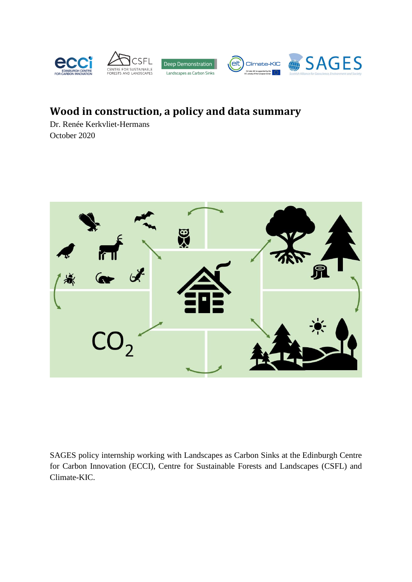

# **Wood in construction, a policy and data summary**

Dr. Renée Kerkvliet-Hermans October 2020



SAGES policy internship working with Landscapes as Carbon Sinks at the Edinburgh Centre for Carbon Innovation (ECCI), Centre for Sustainable Forests and Landscapes (CSFL) and Climate-KIC.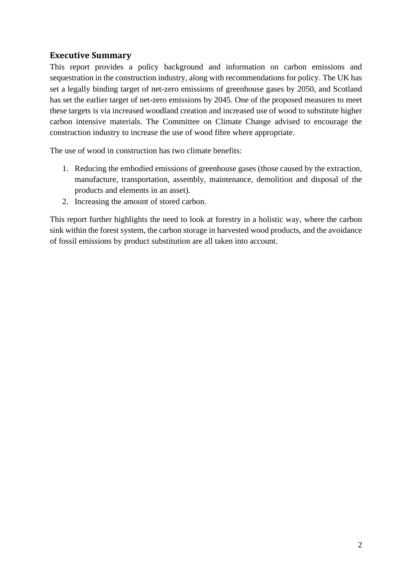# **Executive Summary**

This report provides a policy background and information on carbon emissions and sequestration in the construction industry, along with recommendations for policy. The UK has set a legally binding target of net-zero emissions of greenhouse gases by 2050, and Scotland has set the earlier target of net-zero emissions by 2045. One of the proposed measures to meet these targets is via increased woodland creation and increased use of wood to substitute higher carbon intensive materials. The Committee on Climate Change advised to encourage the construction industry to increase the use of wood fibre where appropriate.

The use of wood in construction has two climate benefits:

- 1. Reducing the embodied emissions of greenhouse gases (those caused by the extraction, manufacture, transportation, assembly, maintenance, demolition and disposal of the products and elements in an asset).
- 2. Increasing the amount of stored carbon.

This report further highlights the need to look at forestry in a holistic way, where the carbon sink within the forest system, the carbon storage in harvested wood products, and the avoidance of fossil emissions by product substitution are all taken into account.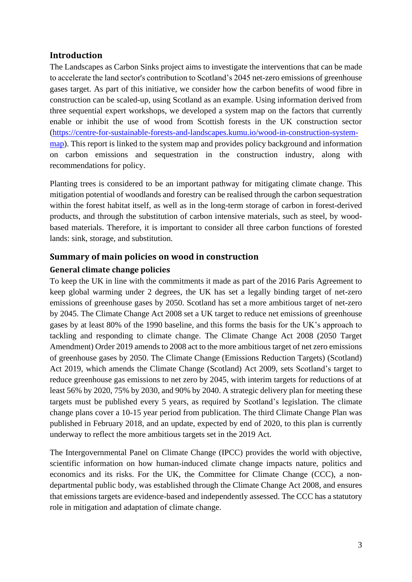# **Introduction**

The Landscapes as Carbon Sinks project aims to investigate the interventions that can be made to accelerate the land sector's contribution to Scotland's 2045 net-zero emissions of greenhouse gases target. As part of this initiative, we consider how the carbon benefits of wood fibre in construction can be scaled-up, using Scotland as an example. Using information derived from three sequential expert workshops, we developed a system map on the factors that currently enable or inhibit the use of wood from Scottish forests in the UK construction sector [\(https://centre-for-sustainable-forests-and-landscapes.kumu.io/wood-in-construction-system](https://centre-for-sustainable-forests-and-landscapes.kumu.io/wood-in-construction-system-map)[map\)](https://centre-for-sustainable-forests-and-landscapes.kumu.io/wood-in-construction-system-map). This report is linked to the system map and provides policy background and information on carbon emissions and sequestration in the construction industry, along with recommendations for policy.

Planting trees is considered to be an important pathway for mitigating climate change. This mitigation potential of woodlands and forestry can be realised through the carbon sequestration within the forest habitat itself, as well as in the long-term storage of carbon in forest-derived products, and through the substitution of carbon intensive materials, such as steel, by woodbased materials. Therefore, it is important to consider all three carbon functions of forested lands: sink, storage, and substitution.

# **Summary of main policies on wood in construction**

### **General climate change policies**

To keep the UK in line with the commitments it made as part of the 2016 Paris Agreement to keep global warming under 2 degrees, the UK has set a legally binding target of net-zero emissions of greenhouse gases by 2050. Scotland has set a more ambitious target of net-zero by 2045. The Climate Change Act 2008 set a UK target to reduce net emissions of greenhouse gases by at least 80% of the 1990 baseline, and this forms the basis for the UK's approach to tackling and responding to climate change. The Climate Change Act 2008 (2050 Target Amendment) Order 2019 amends to 2008 act to the more ambitious target of net zero emissions of greenhouse gases by 2050. The Climate Change (Emissions Reduction Targets) (Scotland) Act 2019, which amends the Climate Change (Scotland) Act 2009, sets Scotland's target to reduce greenhouse gas emissions to net zero by 2045, with interim targets for reductions of at least 56% by 2020, 75% by 2030, and 90% by 2040. A strategic delivery plan for meeting these targets must be published every 5 years, as required by Scotland's legislation. The climate change plans cover a 10-15 year period from publication. The third Climate Change Plan was published in February 2018, and an update, expected by end of 2020, to this plan is currently underway to reflect the more ambitious targets set in the 2019 Act.

The Intergovernmental Panel on Climate Change (IPCC) provides the world with objective, scientific information on how human-induced climate change impacts nature, politics and economics and its risks. For the UK, the Committee for Climate Change (CCC), a nondepartmental public body, was established through the Climate Change Act 2008, and ensures that emissions targets are evidence-based and independently assessed. The CCC has a statutory role in mitigation and adaptation of climate change.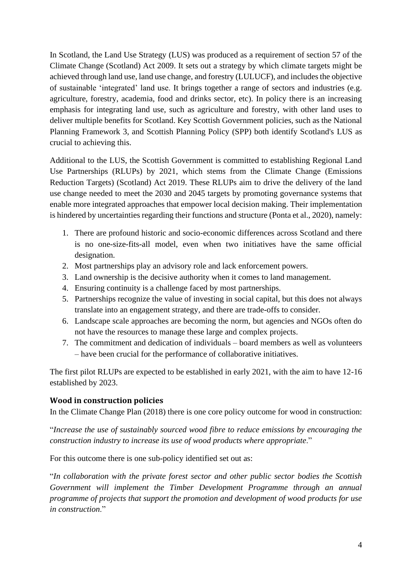In Scotland, the Land Use Strategy (LUS) was produced as a requirement of section 57 of the Climate Change (Scotland) Act 2009. It sets out a strategy by which climate targets might be achieved through land use, land use change, and forestry (LULUCF), and includes the objective of sustainable 'integrated' land use. It brings together a range of sectors and industries (e.g. agriculture, forestry, academia, food and drinks sector, etc). In policy there is an increasing emphasis for integrating land use, such as agriculture and forestry, with other land uses to deliver multiple benefits for Scotland. Key Scottish Government policies, such as the National Planning Framework 3, and Scottish Planning Policy (SPP) both identify Scotland's LUS as crucial to achieving this.

Additional to the LUS, the Scottish Government is committed to establishing Regional Land Use Partnerships (RLUPs) by 2021, which stems from the Climate Change (Emissions Reduction Targets) (Scotland) Act 2019. These RLUPs aim to drive the delivery of the land use change needed to meet the 2030 and 2045 targets by promoting governance systems that enable more integrated approaches that empower local decision making. Their implementation is hindered by uncertainties regarding their functions and structure (Ponta et al., 2020), namely:

- 1. There are profound historic and socio-economic differences across Scotland and there is no one-size-fits-all model, even when two initiatives have the same official designation.
- 2. Most partnerships play an advisory role and lack enforcement powers.
- 3. Land ownership is the decisive authority when it comes to land management.
- 4. Ensuring continuity is a challenge faced by most partnerships.
- 5. Partnerships recognize the value of investing in social capital, but this does not always translate into an engagement strategy, and there are trade-offs to consider.
- 6. Landscape scale approaches are becoming the norm, but agencies and NGOs often do not have the resources to manage these large and complex projects.
- 7. The commitment and dedication of individuals board members as well as volunteers – have been crucial for the performance of collaborative initiatives.

The first pilot RLUPs are expected to be established in early 2021, with the aim to have 12-16 established by 2023.

### **Wood in construction policies**

In the Climate Change Plan (2018) there is one core policy outcome for wood in construction:

"*Increase the use of sustainably sourced wood fibre to reduce emissions by encouraging the construction industry to increase its use of wood products where appropriate*."

For this outcome there is one sub-policy identified set out as:

"*In collaboration with the private forest sector and other public sector bodies the Scottish Government will implement the Timber Development Programme through an annual programme of projects that support the promotion and development of wood products for use in construction*."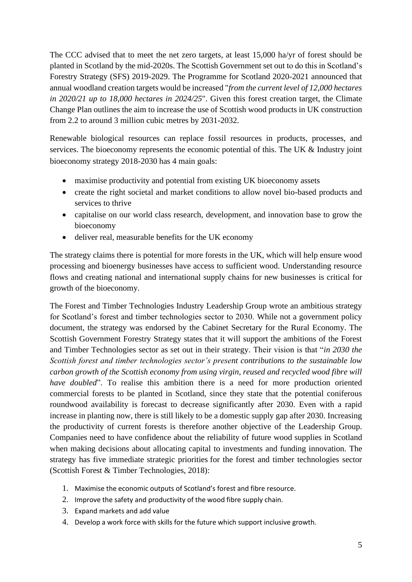The CCC advised that to meet the net zero targets, at least 15,000 ha/yr of forest should be planted in Scotland by the mid-2020s. The Scottish Government set out to do this in Scotland's Forestry Strategy (SFS) 2019-2029. The Programme for Scotland 2020-2021 announced that annual woodland creation targets would be increased "*from the current level of 12,000 hectares in 2020/21 up to 18,000 hectares in 2024/25*". Given this forest creation target, the Climate Change Plan outlines the aim to increase the use of Scottish wood products in UK construction from 2.2 to around 3 million cubic metres by 2031-2032.

Renewable biological resources can replace fossil resources in products, processes, and services. The bioeconomy represents the economic potential of this. The UK & Industry joint bioeconomy strategy 2018-2030 has 4 main goals:

- maximise productivity and potential from existing UK bioeconomy assets
- create the right societal and market conditions to allow novel bio-based products and services to thrive
- capitalise on our world class research, development, and innovation base to grow the bioeconomy
- deliver real, measurable benefits for the UK economy

The strategy claims there is potential for more forests in the UK, which will help ensure wood processing and bioenergy businesses have access to sufficient wood. Understanding resource flows and creating national and international supply chains for new businesses is critical for growth of the bioeconomy.

The Forest and Timber Technologies Industry Leadership Group wrote an ambitious strategy for Scotland's forest and timber technologies sector to 2030. While not a government policy document, the strategy was endorsed by the Cabinet Secretary for the Rural Economy. The Scottish Government Forestry Strategy states that it will support the ambitions of the Forest and Timber Technologies sector as set out in their strategy. Their vision is that "*in 2030 the Scottish forest and timber technologies sector's present contributions to the sustainable low carbon growth of the Scottish economy from using virgin, reused and recycled wood fibre will have doubled*". To realise this ambition there is a need for more production oriented commercial forests to be planted in Scotland, since they state that the potential coniferous roundwood availability is forecast to decrease significantly after 2030. Even with a rapid increase in planting now, there is still likely to be a domestic supply gap after 2030. Increasing the productivity of current forests is therefore another objective of the Leadership Group. Companies need to have confidence about the reliability of future wood supplies in Scotland when making decisions about allocating capital to investments and funding innovation. The strategy has five immediate strategic priorities for the forest and timber technologies sector (Scottish Forest & Timber Technologies, 2018):

- 1. Maximise the economic outputs of Scotland's forest and fibre resource.
- 2. Improve the safety and productivity of the wood fibre supply chain.
- 3. Expand markets and add value
- 4. Develop a work force with skills for the future which support inclusive growth.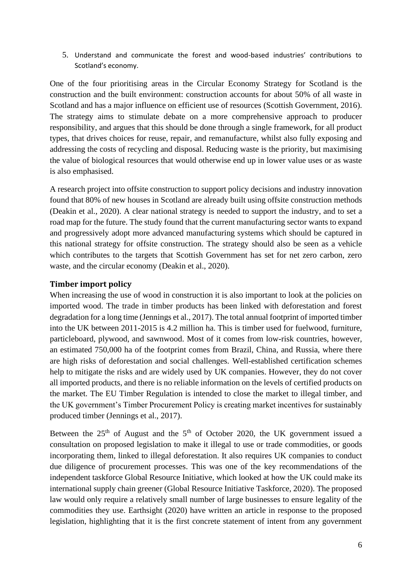5. Understand and communicate the forest and wood-based industries' contributions to Scotland's economy.

One of the four prioritising areas in the Circular Economy Strategy for Scotland is the construction and the built environment: construction accounts for about 50% of all waste in Scotland and has a major influence on efficient use of resources (Scottish Government, 2016). The strategy aims to stimulate debate on a more comprehensive approach to producer responsibility, and argues that this should be done through a single framework, for all product types, that drives choices for reuse, repair, and remanufacture, whilst also fully exposing and addressing the costs of recycling and disposal. Reducing waste is the priority, but maximising the value of biological resources that would otherwise end up in lower value uses or as waste is also emphasised.

A research project into offsite construction to support policy decisions and industry innovation found that 80% of new houses in Scotland are already built using offsite construction methods (Deakin et al., 2020). A clear national strategy is needed to support the industry, and to set a road map for the future. The study found that the current manufacturing sector wants to expand and progressively adopt more advanced manufacturing systems which should be captured in this national strategy for offsite construction. The strategy should also be seen as a vehicle which contributes to the targets that Scottish Government has set for net zero carbon, zero waste, and the circular economy (Deakin et al., 2020).

#### **Timber import policy**

When increasing the use of wood in construction it is also important to look at the policies on imported wood. The trade in timber products has been linked with deforestation and forest degradation for a long time (Jennings et al., 2017). The total annual footprint of imported timber into the UK between 2011-2015 is 4.2 million ha. This is timber used for fuelwood, furniture, particleboard, plywood, and sawnwood. Most of it comes from low-risk countries, however, an estimated 750,000 ha of the footprint comes from Brazil, China, and Russia, where there are high risks of deforestation and social challenges. Well-established certification schemes help to mitigate the risks and are widely used by UK companies. However, they do not cover all imported products, and there is no reliable information on the levels of certified products on the market. The EU Timber Regulation is intended to close the market to illegal timber, and the UK government's Timber Procurement Policy is creating market incentives for sustainably produced timber (Jennings et al., 2017).

Between the  $25<sup>th</sup>$  of August and the  $5<sup>th</sup>$  of October 2020, the UK government issued a consultation on proposed legislation to make it illegal to use or trade commodities, or goods incorporating them, linked to illegal deforestation. It also requires UK companies to conduct due diligence of procurement processes. This was one of the key recommendations of the independent taskforce Global Resource Initiative, which looked at how the UK could make its international supply chain greener (Global Resource Initiative Taskforce, 2020). The proposed law would only require a relatively small number of large businesses to ensure legality of the commodities they use. Earthsight (2020) have written an article in response to the proposed legislation, highlighting that it is the first concrete statement of intent from any government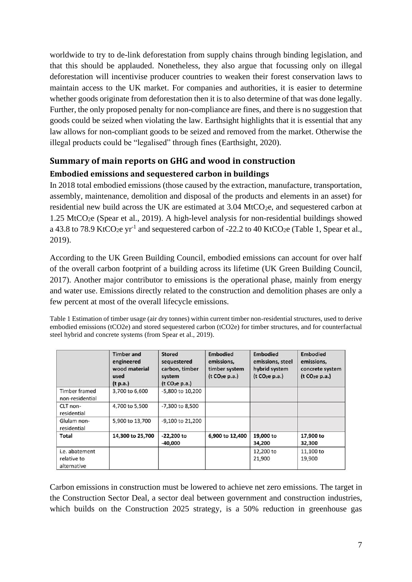worldwide to try to de-link deforestation from supply chains through binding legislation, and that this should be applauded. Nonetheless, they also argue that focussing only on illegal deforestation will incentivise producer countries to weaken their forest conservation laws to maintain access to the UK market. For companies and authorities, it is easier to determine whether goods originate from deforestation then it is to also determine of that was done legally. Further, the only proposed penalty for non-compliance are fines, and there is no suggestion that goods could be seized when violating the law. Earthsight highlights that it is essential that any law allows for non-compliant goods to be seized and removed from the market. Otherwise the illegal products could be "legalised" through fines (Earthsight, 2020).

# **Summary of main reports on GHG and wood in construction**

### **Embodied emissions and sequestered carbon in buildings**

In 2018 total embodied emissions (those caused by the extraction, manufacture, transportation, assembly, maintenance, demolition and disposal of the products and elements in an asset) for residential new build across the UK are estimated at 3.04 MtCO<sub>2</sub>e, and sequestered carbon at 1.25 MtCO<sub>2</sub>e (Spear et al., 2019). A high-level analysis for non-residential buildings showed a 43.8 to 78.9 KtCO<sub>2</sub>e yr<sup>-1</sup> and sequestered carbon of -22.2 to 40 KtCO<sub>2</sub>e [\(Table 1,](#page-6-0) Spear et al., 2019).

According to the UK Green Building Council, embodied emissions can account for over half of the overall carbon footprint of a building across its lifetime (UK Green Building Council, 2017). Another major contributor to emissions is the operational phase, mainly from energy and water use. Emissions directly related to the construction and demolition phases are only a few percent at most of the overall lifecycle emissions.

<span id="page-6-0"></span>Table 1 Estimation of timber usage (air dry tonnes) within current timber non-residential structures, used to derive embodied emissions (tCO2e) and stored sequestered carbon (tCO2e) for timber structures, and for counterfactual steel hybrid and concrete systems (from Spear et al., 2019).

|                                              | <b>Timber and</b><br>engineered<br>wood material<br>used<br>(t p.a.) | <b>Stored</b><br>sequestered<br>carbon, timber<br>system<br>(t CO <sub>2</sub> e p.a.) | <b>Embodied</b><br>emissions,<br>timber system<br>(t CO <sub>2</sub> e p.a.) | <b>Embodied</b><br>emissions, steel<br>hybrid system<br>(t CO <sub>2</sub> e p.a.) | <b>Embodied</b><br>emissions,<br>concrete system<br>(t CO <sub>2</sub> e p.a.) |
|----------------------------------------------|----------------------------------------------------------------------|----------------------------------------------------------------------------------------|------------------------------------------------------------------------------|------------------------------------------------------------------------------------|--------------------------------------------------------------------------------|
| <b>Timber framed</b><br>non-residential      | 3,700 to 6,600                                                       | -5,800 to 10,200                                                                       |                                                                              |                                                                                    |                                                                                |
| CLT non-<br>residential                      | 4,700 to 5,500                                                       | -7,300 to 8,500                                                                        |                                                                              |                                                                                    |                                                                                |
| Glulam non-<br>residential                   | 5,900 to 13,700                                                      | -9,100 to 21,200                                                                       |                                                                              |                                                                                    |                                                                                |
| <b>Total</b>                                 | 14,300 to 25,700                                                     | $-22,200$ to<br>$-40,000$                                                              | 6,900 to 12,400                                                              | 19,000 to<br>34,200                                                                | 17,900 to<br>32,300                                                            |
| i.e. abatement<br>relative to<br>alternative |                                                                      |                                                                                        |                                                                              | 12,200 to<br>21,900                                                                | 11,100 to<br>19,900                                                            |

Carbon emissions in construction must be lowered to achieve net zero emissions. The target in the Construction Sector Deal, a sector deal between government and construction industries, which builds on the Construction 2025 strategy, is a 50% reduction in greenhouse gas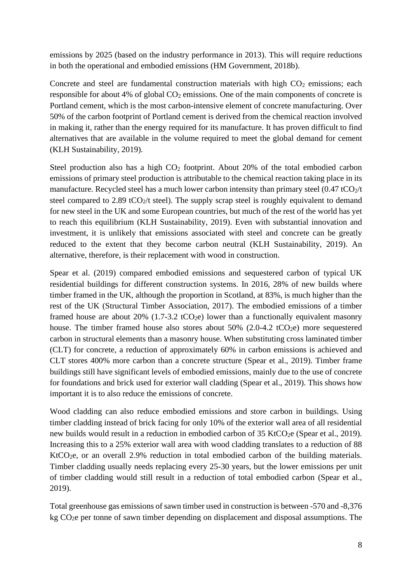emissions by 2025 (based on the industry performance in 2013). This will require reductions in both the operational and embodied emissions (HM Government, 2018b).

Concrete and steel are fundamental construction materials with high  $CO<sub>2</sub>$  emissions; each responsible for about 4% of global  $CO<sub>2</sub>$  emissions. One of the main components of concrete is Portland cement, which is the most carbon-intensive element of concrete manufacturing. Over 50% of the carbon footprint of Portland cement is derived from the chemical reaction involved in making it, rather than the energy required for its manufacture. It has proven difficult to find alternatives that are available in the volume required to meet the global demand for cement (KLH Sustainability, 2019).

Steel production also has a high  $CO<sub>2</sub>$  footprint. About 20% of the total embodied carbon emissions of primary steel production is attributable to the chemical reaction taking place in its manufacture. Recycled steel has a much lower carbon intensity than primary steel  $(0.47 \text{ tCO}_2/t)$ steel compared to 2.89 tCO<sub>2</sub>/t steel). The supply scrap steel is roughly equivalent to demand for new steel in the UK and some European countries, but much of the rest of the world has yet to reach this equilibrium (KLH Sustainability, 2019). Even with substantial innovation and investment, it is unlikely that emissions associated with steel and concrete can be greatly reduced to the extent that they become carbon neutral (KLH Sustainability, 2019). An alternative, therefore, is their replacement with wood in construction.

Spear et al. (2019) compared embodied emissions and sequestered carbon of typical UK residential buildings for different construction systems. In 2016, 28% of new builds where timber framed in the UK, although the proportion in Scotland, at 83%, is much higher than the rest of the UK (Structural Timber Association, 2017). The embodied emissions of a timber framed house are about 20% (1.7-3.2 tCO<sub>2</sub>e) lower than a functionally equivalent masonry house. The timber framed house also stores about  $50\%$  (2.0-4.2 tCO<sub>2</sub>e) more sequestered carbon in structural elements than a masonry house. When substituting cross laminated timber (CLT) for concrete, a reduction of approximately 60% in carbon emissions is achieved and CLT stores 400% more carbon than a concrete structure (Spear et al., 2019). Timber frame buildings still have significant levels of embodied emissions, mainly due to the use of concrete for foundations and brick used for exterior wall cladding (Spear et al., 2019). This shows how important it is to also reduce the emissions of concrete.

Wood cladding can also reduce embodied emissions and store carbon in buildings. Using timber cladding instead of brick facing for only 10% of the exterior wall area of all residential new builds would result in a reduction in embodied carbon of  $35$  KtCO<sub>2</sub>e (Spear et al., 2019). Increasing this to a 25% exterior wall area with wood cladding translates to a reduction of 88 KtCO<sub>2</sub>e, or an overall 2.9% reduction in total embodied carbon of the building materials. Timber cladding usually needs replacing every 25-30 years, but the lower emissions per unit of timber cladding would still result in a reduction of total embodied carbon (Spear et al., 2019).

Total greenhouse gas emissions of sawn timber used in construction is between -570 and -8,376 kg CO2e per tonne of sawn timber depending on displacement and disposal assumptions. The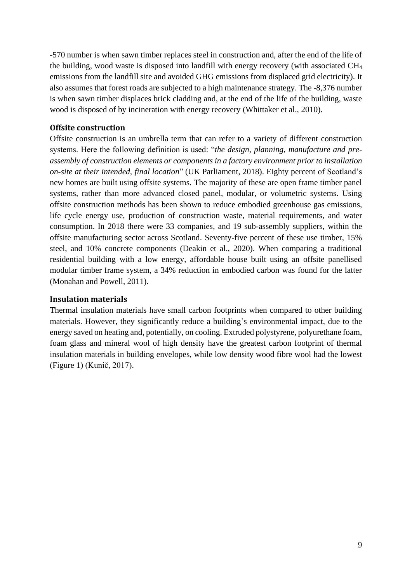-570 number is when sawn timber replaces steel in construction and, after the end of the life of the building, wood waste is disposed into landfill with energy recovery (with associated CH<sup>4</sup> emissions from the landfill site and avoided GHG emissions from displaced grid electricity). It also assumes that forest roads are subjected to a high maintenance strategy. The -8,376 number is when sawn timber displaces brick cladding and, at the end of the life of the building, waste wood is disposed of by incineration with energy recovery (Whittaker et al., 2010).

#### **Offsite construction**

Offsite construction is an umbrella term that can refer to a variety of different construction systems. Here the following definition is used: "*the design, planning, manufacture and preassembly of construction elements or components in a factory environment prior to installation on-site at their intended, final location*" (UK Parliament, 2018). Eighty percent of Scotland's new homes are built using offsite systems. The majority of these are open frame timber panel systems, rather than more advanced closed panel, modular, or volumetric systems. Using offsite construction methods has been shown to reduce embodied greenhouse gas emissions, life cycle energy use, production of construction waste, material requirements, and water consumption. In 2018 there were 33 companies, and 19 sub-assembly suppliers, within the offsite manufacturing sector across Scotland. Seventy-five percent of these use timber, 15% steel, and 10% concrete components (Deakin et al., 2020). When comparing a traditional residential building with a low energy, affordable house built using an offsite panellised modular timber frame system, a 34% reduction in embodied carbon was found for the latter (Monahan and Powell, 2011).

#### **Insulation materials**

Thermal insulation materials have small carbon footprints when compared to other building materials. However, they significantly reduce a building's environmental impact, due to the energy saved on heating and, potentially, on cooling. Extruded polystyrene, polyurethane foam, foam glass and mineral wool of high density have the greatest carbon footprint of thermal insulation materials in building envelopes, while low density wood fibre wool had the lowest [\(Figure 1\)](#page-9-0) (Kunič, 2017).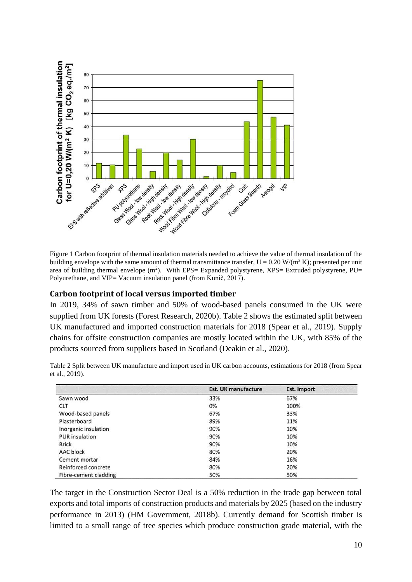

<span id="page-9-0"></span>Figure 1 Carbon footprint of thermal insulation materials needed to achieve the value of thermal insulation of the building envelope with the same amount of thermal transmittance transfer,  $U = 0.20$  W/(m<sup>2</sup> K); presented per unit area of building thermal envelope  $(m^2)$ . With EPS= Expanded polystyrene, XPS= Extruded polystyrene, PU= Polyurethane, and VIP= Vacuum insulation panel (from Kunič, 2017).

#### **Carbon footprint of local versus imported timber**

In 2019, 34% of sawn timber and 50% of wood-based panels consumed in the UK were supplied from UK forests (Forest Research, 2020b). [Table 2](#page-9-1) shows the estimated split between UK manufactured and imported construction materials for 2018 (Spear et al., 2019). Supply chains for offsite construction companies are mostly located within the UK, with 85% of the products sourced from suppliers based in Scotland (Deakin et al., 2020).

|                       | <b>Est. UK manufacture</b> | Est. import |
|-----------------------|----------------------------|-------------|
| Sawn wood             | 33%                        | 67%         |
| <b>CLT</b>            | 0%                         | 100%        |
| Wood-based panels     | 67%                        | 33%         |
| Plasterboard          | 89%                        | 11%         |
| Inorganic insulation  | 90%                        | 10%         |
| <b>PUR</b> insulation | 90%                        | 10%         |
| <b>Brick</b>          | 90%                        | 10%         |
| AAC block             | 80%                        | 20%         |
| Cement mortar         | 84%                        | 16%         |
| Reinforced concrete   | 80%                        | 20%         |
| Fibre-cement cladding | 50%                        | 50%         |

<span id="page-9-1"></span>Table 2 Split between UK manufacture and import used in UK carbon accounts, estimations for 2018 (from Spear et al., 2019).

The target in the Construction Sector Deal is a 50% reduction in the trade gap between total exports and total imports of construction products and materials by 2025 (based on the industry performance in 2013) (HM Government, 2018b). Currently demand for Scottish timber is limited to a small range of tree species which produce construction grade material, with the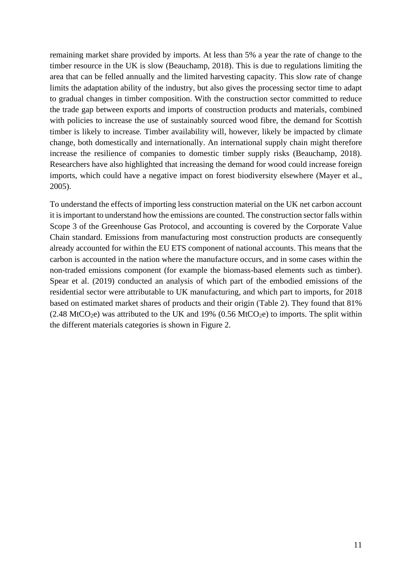remaining market share provided by imports. At less than 5% a year the rate of change to the timber resource in the UK is slow (Beauchamp, 2018). This is due to regulations limiting the area that can be felled annually and the limited harvesting capacity. This slow rate of change limits the adaptation ability of the industry, but also gives the processing sector time to adapt to gradual changes in timber composition. With the construction sector committed to reduce the trade gap between exports and imports of construction products and materials, combined with policies to increase the use of sustainably sourced wood fibre, the demand for Scottish timber is likely to increase. Timber availability will, however, likely be impacted by climate change, both domestically and internationally. An international supply chain might therefore increase the resilience of companies to domestic timber supply risks (Beauchamp, 2018). Researchers have also highlighted that increasing the demand for wood could increase foreign imports, which could have a negative impact on forest biodiversity elsewhere (Mayer et al., 2005).

To understand the effects of importing less construction material on the UK net carbon account it is important to understand how the emissions are counted. The construction sector falls within Scope 3 of the Greenhouse Gas Protocol, and accounting is covered by the Corporate Value Chain standard. Emissions from manufacturing most construction products are consequently already accounted for within the EU ETS component of national accounts. This means that the carbon is accounted in the nation where the manufacture occurs, and in some cases within the non-traded emissions component (for example the biomass-based elements such as timber). Spear et al. (2019) conducted an analysis of which part of the embodied emissions of the residential sector were attributable to UK manufacturing, and which part to imports, for 2018 based on estimated market shares of products and their origin [\(Table 2\)](#page-9-1). They found that 81%  $(2.48 \text{ MtCO}_2)$  was attributed to the UK and 19%  $(0.56 \text{ MtCO}_2)$  to imports. The split within the different materials categories is shown in [Figure 2.](#page-11-0)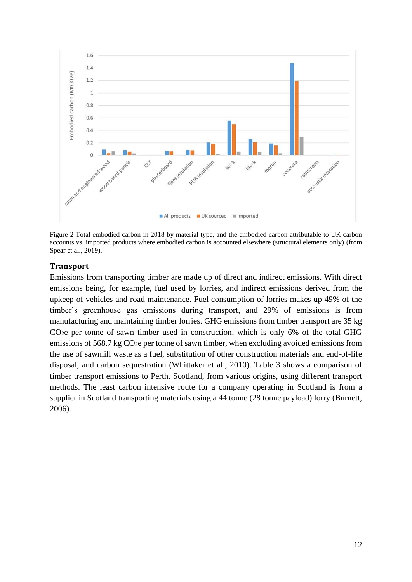

<span id="page-11-0"></span>Figure 2 Total embodied carbon in 2018 by material type, and the embodied carbon attributable to UK carbon accounts vs. imported products where embodied carbon is accounted elsewhere (structural elements only) (from Spear et al., 2019).

#### **Transport**

Emissions from transporting timber are made up of direct and indirect emissions. With direct emissions being, for example, fuel used by lorries, and indirect emissions derived from the upkeep of vehicles and road maintenance. Fuel consumption of lorries makes up 49% of the timber's greenhouse gas emissions during transport, and 29% of emissions is from manufacturing and maintaining timber lorries. GHG emissions from timber transport are 35 kg  $CO<sub>2</sub>e$  per tonne of sawn timber used in construction, which is only 6% of the total GHG emissions of 568.7 kg  $CO<sub>2</sub>e$  per tonne of sawn timber, when excluding avoided emissions from the use of sawmill waste as a fuel, substitution of other construction materials and end-of-life disposal, and carbon sequestration (Whittaker et al., 2010). [Table 3](#page-12-0) shows a comparison of timber transport emissions to Perth, Scotland, from various origins, using different transport methods. The least carbon intensive route for a company operating in Scotland is from a supplier in Scotland transporting materials using a 44 tonne (28 tonne payload) lorry (Burnett, 2006).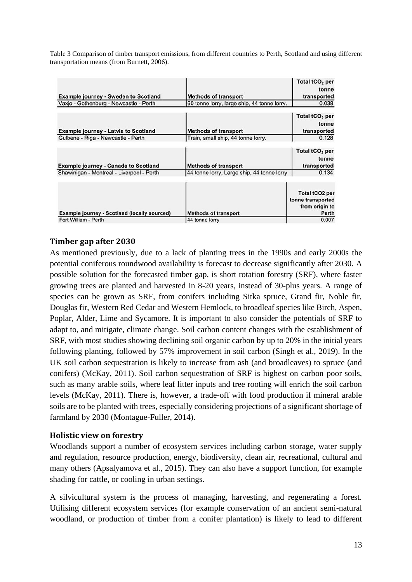<span id="page-12-0"></span>Table 3 Comparison of timber transport emissions, from different countries to Perth, Scotland and using different transportation means (from Burnett, 2006).

| <b>Example journey - Sweden to Scotland</b>         | <b>Methods of transport</b>                 | Total tCO <sub>2</sub> per<br>tonne<br>transported             |
|-----------------------------------------------------|---------------------------------------------|----------------------------------------------------------------|
| Vaxjo - Gothenburg - Newcastle - Perth              | 60 tonne lorry, large ship, 44 tonne lorry. | 0.038                                                          |
| <b>Example journey - Latvia to Scotland</b>         | <b>Methods of transport</b>                 | Total tCO <sub>2</sub> per<br>tonne<br>transported             |
| Gulbene - Riga - Newcastle - Perth                  | Train, small ship, 44 tonne lorry.          | 0.128                                                          |
| <b>Example journey - Canada to Scotland</b>         | <b>Methods of transport</b>                 | Total tCO <sub>2</sub> per<br>tonne<br>transported             |
| Shawinigan - Montreal - Liverpool - Perth           | 44 tonne lorry, Large ship, 44 tonne lorry  | 0.134                                                          |
| <b>Example journey - Scotland (locally sourced)</b> | <b>Methods of transport</b>                 | Total tCO2 per<br>tonne transported<br>from origin to<br>Perth |
| Fort William - Perth                                | 44 tonne lorry                              | 0.007                                                          |

### **Timber gap after 2030**

As mentioned previously, due to a lack of planting trees in the 1990s and early 2000s the potential coniferous roundwood availability is forecast to decrease significantly after 2030. A possible solution for the forecasted timber gap, is short rotation forestry (SRF), where faster growing trees are planted and harvested in 8-20 years, instead of 30-plus years. A range of species can be grown as SRF, from conifers including Sitka spruce, Grand fir, Noble fir, Douglas fir, Western Red Cedar and Western Hemlock, to broadleaf species like Birch, Aspen, Poplar, Alder, Lime and Sycamore. It is important to also consider the potentials of SRF to adapt to, and mitigate, climate change. Soil carbon content changes with the establishment of SRF, with most studies showing declining soil organic carbon by up to 20% in the initial years following planting, followed by 57% improvement in soil carbon (Singh et al., 2019). In the UK soil carbon sequestration is likely to increase from ash (and broadleaves) to spruce (and conifers) (McKay, 2011). Soil carbon sequestration of SRF is highest on carbon poor soils, such as many arable soils, where leaf litter inputs and tree rooting will enrich the soil carbon levels (McKay, 2011). There is, however, a trade-off with food production if mineral arable soils are to be planted with trees, especially considering projections of a significant shortage of farmland by 2030 (Montague-Fuller, 2014).

### **Holistic view on forestry**

Woodlands support a number of ecosystem services including carbon storage, water supply and regulation, resource production, energy, biodiversity, clean air, recreational, cultural and many others (Apsalyamova et al., 2015). They can also have a support function, for example shading for cattle, or cooling in urban settings.

A silvicultural system is the process of managing, harvesting, and regenerating a forest. Utilising different ecosystem services (for example conservation of an ancient semi-natural woodland, or production of timber from a conifer plantation) is likely to lead to different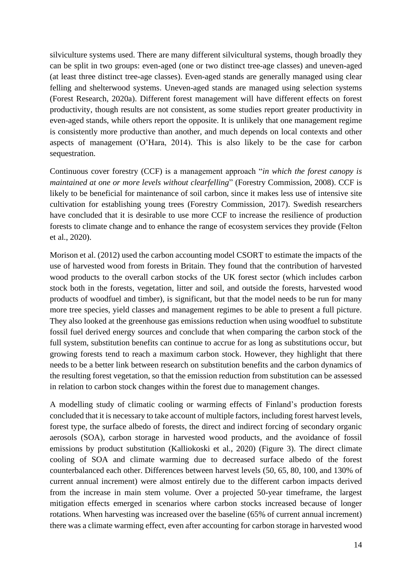silviculture systems used. There are many different silvicultural systems, though broadly they can be split in two groups: even-aged (one or two distinct tree-age classes) and uneven-aged (at least three distinct tree-age classes). Even-aged stands are generally managed using clear felling and shelterwood systems. Uneven-aged stands are managed using selection systems (Forest Research, 2020a). Different forest management will have different effects on forest productivity, though results are not consistent, as some studies report greater productivity in even-aged stands, while others report the opposite. It is unlikely that one management regime is consistently more productive than another, and much depends on local contexts and other aspects of management (O'Hara, 2014). This is also likely to be the case for carbon sequestration.

Continuous cover forestry (CCF) is a management approach "*in which the forest canopy is maintained at one or more levels without clearfelling*" (Forestry Commission, 2008). CCF is likely to be beneficial for maintenance of soil carbon, since it makes less use of intensive site cultivation for establishing young trees (Forestry Commission, 2017). Swedish researchers have concluded that it is desirable to use more CCF to increase the resilience of production forests to climate change and to enhance the range of ecosystem services they provide (Felton et al., 2020).

Morison et al. (2012) used the carbon accounting model CSORT to estimate the impacts of the use of harvested wood from forests in Britain. They found that the contribution of harvested wood products to the overall carbon stocks of the UK forest sector (which includes carbon stock both in the forests, vegetation, litter and soil, and outside the forests, harvested wood products of woodfuel and timber), is significant, but that the model needs to be run for many more tree species, yield classes and management regimes to be able to present a full picture. They also looked at the greenhouse gas emissions reduction when using woodfuel to substitute fossil fuel derived energy sources and conclude that when comparing the carbon stock of the full system, substitution benefits can continue to accrue for as long as substitutions occur, but growing forests tend to reach a maximum carbon stock. However, they highlight that there needs to be a better link between research on substitution benefits and the carbon dynamics of the resulting forest vegetation, so that the emission reduction from substitution can be assessed in relation to carbon stock changes within the forest due to management changes.

A modelling study of climatic cooling or warming effects of Finland's production forests concluded that it is necessary to take account of multiple factors, including forest harvest levels, forest type, the surface albedo of forests, the direct and indirect forcing of secondary organic aerosols (SOA), carbon storage in harvested wood products, and the avoidance of fossil emissions by product substitution (Kalliokoski et al., 2020) [\(Figure 3\)](#page-14-0). The direct climate cooling of SOA and climate warming due to decreased surface albedo of the forest counterbalanced each other. Differences between harvest levels (50, 65, 80, 100, and 130% of current annual increment) were almost entirely due to the different carbon impacts derived from the increase in main stem volume. Over a projected 50-year timeframe, the largest mitigation effects emerged in scenarios where carbon stocks increased because of longer rotations. When harvesting was increased over the baseline (65% of current annual increment) there was a climate warming effect, even after accounting for carbon storage in harvested wood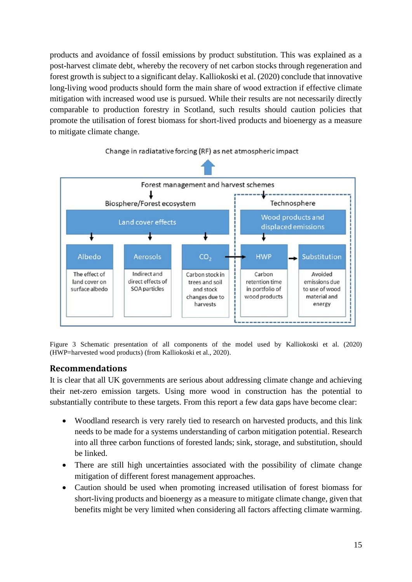products and avoidance of fossil emissions by product substitution. This was explained as a post-harvest climate debt, whereby the recovery of net carbon stocks through regeneration and forest growth is subject to a significant delay. Kalliokoski et al. (2020) conclude that innovative long-living wood products should form the main share of wood extraction if effective climate mitigation with increased wood use is pursued. While their results are not necessarily directly comparable to production forestry in Scotland, such results should caution policies that promote the utilisation of forest biomass for short-lived products and bioenergy as a measure to mitigate climate change.



Change in radiatative forcing (RF) as net atmospheric impact

<span id="page-14-0"></span>Figure 3 Schematic presentation of all components of the model used by Kalliokoski et al. (2020) (HWP=harvested wood products) (from Kalliokoski et al., 2020).

### **Recommendations**

It is clear that all UK governments are serious about addressing climate change and achieving their net-zero emission targets. Using more wood in construction has the potential to substantially contribute to these targets. From this report a few data gaps have become clear:

- Woodland research is very rarely tied to research on harvested products, and this link needs to be made for a systems understanding of carbon mitigation potential. Research into all three carbon functions of forested lands; sink, storage, and substitution, should be linked.
- There are still high uncertainties associated with the possibility of climate change mitigation of different forest management approaches.
- Caution should be used when promoting increased utilisation of forest biomass for short-living products and bioenergy as a measure to mitigate climate change, given that benefits might be very limited when considering all factors affecting climate warming.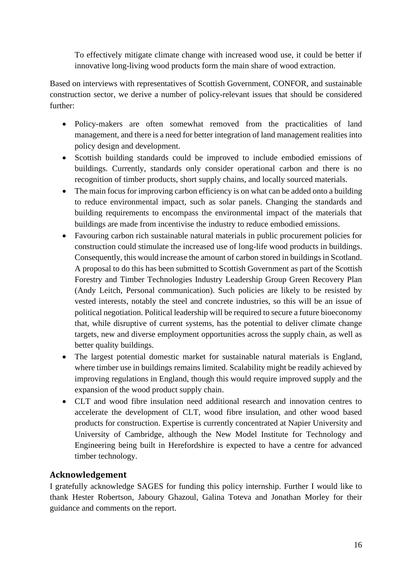To effectively mitigate climate change with increased wood use, it could be better if innovative long-living wood products form the main share of wood extraction.

Based on interviews with representatives of Scottish Government, CONFOR, and sustainable construction sector, we derive a number of policy-relevant issues that should be considered further:

- Policy-makers are often somewhat removed from the practicalities of land management, and there is a need for better integration of land management realities into policy design and development.
- Scottish building standards could be improved to include embodied emissions of buildings. Currently, standards only consider operational carbon and there is no recognition of timber products, short supply chains, and locally sourced materials.
- The main focus for improving carbon efficiency is on what can be added onto a building to reduce environmental impact, such as solar panels. Changing the standards and building requirements to encompass the environmental impact of the materials that buildings are made from incentivise the industry to reduce embodied emissions.
- Favouring carbon rich sustainable natural materials in public procurement policies for construction could stimulate the increased use of long-life wood products in buildings. Consequently, this would increase the amount of carbon stored in buildings in Scotland. A proposal to do this has been submitted to Scottish Government as part of the Scottish Forestry and Timber Technologies Industry Leadership Group Green Recovery Plan (Andy Leitch, Personal communication). Such policies are likely to be resisted by vested interests, notably the steel and concrete industries, so this will be an issue of political negotiation. Political leadership will be required to secure a future bioeconomy that, while disruptive of current systems, has the potential to deliver climate change targets, new and diverse employment opportunities across the supply chain, as well as better quality buildings.
- The largest potential domestic market for sustainable natural materials is England, where timber use in buildings remains limited. Scalability might be readily achieved by improving regulations in England, though this would require improved supply and the expansion of the wood product supply chain.
- CLT and wood fibre insulation need additional research and innovation centres to accelerate the development of CLT, wood fibre insulation, and other wood based products for construction. Expertise is currently concentrated at Napier University and University of Cambridge, although the New Model Institute for Technology and Engineering being built in Herefordshire is expected to have a centre for advanced timber technology.

# **Acknowledgement**

I gratefully acknowledge SAGES for funding this policy internship. Further I would like to thank Hester Robertson, Jaboury Ghazoul, Galina Toteva and Jonathan Morley for their guidance and comments on the report.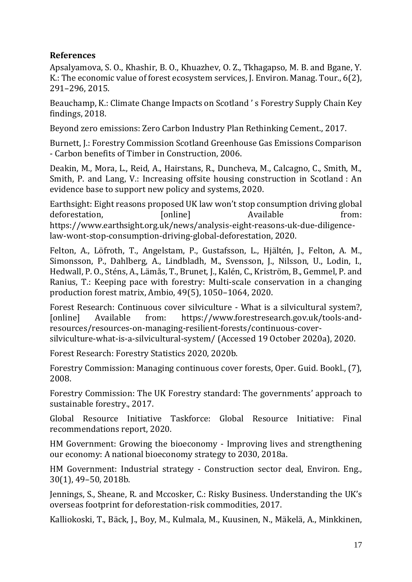# **References**

Apsalyamova, S. O., Khashir, B. O., Khuazhev, O. Z., Tkhagapso, M. B. and Bgane, Y. K.: The economic value of forest ecosystem services, J. Environ. Manag. Tour., 6(2), 291–296, 2015.

Beauchamp, K.: Climate Change Impacts on Scotland ' s Forestry Supply Chain Key findings, 2018.

Beyond zero emissions: Zero Carbon Industry Plan Rethinking Cement., 2017.

Burnett, J.: Forestry Commission Scotland Greenhouse Gas Emissions Comparison - Carbon benefits of Timber in Construction, 2006.

Deakin, M., Mora, L., Reid, A., Hairstans, R., Duncheva, M., Calcagno, C., Smith, M., Smith, P. and Lang, V.: Increasing offsite housing construction in Scotland : An evidence base to support new policy and systems, 2020.

Earthsight: Eight reasons proposed UK law won't stop consumption driving global deforestation, [online] Available from: https://www.earthsight.org.uk/news/analysis-eight-reasons-uk-due-diligencelaw-wont-stop-consumption-driving-global-deforestation, 2020.

Felton, A., Löfroth, T., Angelstam, P., Gustafsson, L., Hjältén, J., Felton, A. M., Simonsson, P., Dahlberg, A., Lindbladh, M., Svensson, J., Nilsson, U., Lodin, I., Hedwall, P. O., Sténs, A., Lämås, T., Brunet, J., Kalén, C., Kriström, B., Gemmel, P. and Ranius, T.: Keeping pace with forestry: Multi-scale conservation in a changing production forest matrix, Ambio, 49(5), 1050–1064, 2020.

Forest Research: Continuous cover silviculture - What is a silvicultural system?, [online] Available from: https://www.forestresearch.gov.uk/tools-andresources/resources-on-managing-resilient-forests/continuous-cover-

silviculture-what-is-a-silvicultural-system/ (Accessed 19 October 2020a), 2020.

Forest Research: Forestry Statistics 2020, 2020b.

Forestry Commission: Managing continuous cover forests, Oper. Guid. Bookl., (7), 2008.

Forestry Commission: The UK Forestry standard: The governments' approach to sustainable forestry., 2017.

Global Resource Initiative Taskforce: Global Resource Initiative: Final recommendations report, 2020.

HM Government: Growing the bioeconomy - Improving lives and strengthening our economy: A national bioeconomy strategy to 2030, 2018a.

HM Government: Industrial strategy - Construction sector deal, Environ. Eng., 30(1), 49–50, 2018b.

Jennings, S., Sheane, R. and Mccosker, C.: Risky Business. Understanding the UK's overseas footprint for deforestation-risk commodities, 2017.

Kalliokoski, T., Bäck, J., Boy, M., Kulmala, M., Kuusinen, N., Mäkelä, A., Minkkinen,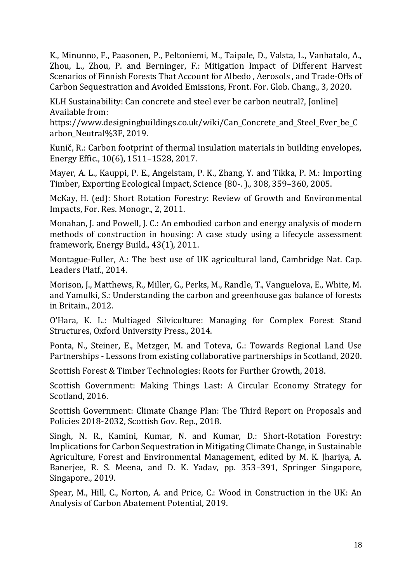K., Minunno, F., Paasonen, P., Peltoniemi, M., Taipale, D., Valsta, L., Vanhatalo, A., Zhou, L., Zhou, P. and Berninger, F.: Mitigation Impact of Different Harvest Scenarios of Finnish Forests That Account for Albedo , Aerosols , and Trade-Offs of Carbon Sequestration and Avoided Emissions, Front. For. Glob. Chang., 3, 2020.

KLH Sustainability: Can concrete and steel ever be carbon neutral?, [online] Available from:

https://www.designingbuildings.co.uk/wiki/Can\_Concrete\_and\_Steel\_Ever\_be\_C arbon\_Neutral%3F, 2019.

Kunič, R.: Carbon footprint of thermal insulation materials in building envelopes, Energy Effic., 10(6), 1511–1528, 2017.

Mayer, A. L., Kauppi, P. E., Angelstam, P. K., Zhang, Y. and Tikka, P. M.: Importing Timber, Exporting Ecological Impact, Science (80-. )., 308, 359–360, 2005.

McKay, H. (ed): Short Rotation Forestry: Review of Growth and Environmental Impacts, For. Res. Monogr., 2, 2011.

Monahan, J. and Powell, J. C.: An embodied carbon and energy analysis of modern methods of construction in housing: A case study using a lifecycle assessment framework, Energy Build., 43(1), 2011.

Montague-Fuller, A.: The best use of UK agricultural land, Cambridge Nat. Cap. Leaders Platf., 2014.

Morison, J., Matthews, R., Miller, G., Perks, M., Randle, T., Vanguelova, E., White, M. and Yamulki, S.: Understanding the carbon and greenhouse gas balance of forests in Britain., 2012.

O'Hara, K. L.: Multiaged Silviculture: Managing for Complex Forest Stand Structures, Oxford University Press., 2014.

Ponta, N., Steiner, E., Metzger, M. and Toteva, G.: Towards Regional Land Use Partnerships - Lessons from existing collaborative partnerships in Scotland, 2020.

Scottish Forest & Timber Technologies: Roots for Further Growth, 2018.

Scottish Government: Making Things Last: A Circular Economy Strategy for Scotland, 2016.

Scottish Government: Climate Change Plan: The Third Report on Proposals and Policies 2018-2032, Scottish Gov. Rep., 2018.

Singh, N. R., Kamini, Kumar, N. and Kumar, D.: Short-Rotation Forestry: Implications for Carbon Sequestration in Mitigating Climate Change, in Sustainable Agriculture, Forest and Environmental Management, edited by M. K. Jhariya, A. Banerjee, R. S. Meena, and D. K. Yadav, pp. 353–391, Springer Singapore, Singapore., 2019.

Spear, M., Hill, C., Norton, A. and Price, C.: Wood in Construction in the UK: An Analysis of Carbon Abatement Potential, 2019.